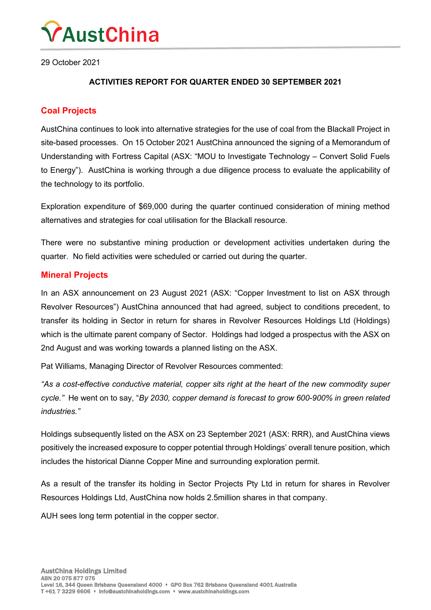

29 October 2021

### **ACTIVITIES REPORT FOR QUARTER ENDED 30 SEPTEMBER 2021**

### **Coal Projects**

AustChina continues to look into alternative strategies for the use of coal from the Blackall Project in site-based processes. On 15 October 2021 AustChina announced the signing of a Memorandum of Understanding with Fortress Capital (ASX: "MOU to Investigate Technology – Convert Solid Fuels to Energy"). AustChina is working through a due diligence process to evaluate the applicability of the technology to its portfolio.

Exploration expenditure of \$69,000 during the quarter continued consideration of mining method alternatives and strategies for coal utilisation for the Blackall resource.

There were no substantive mining production or development activities undertaken during the quarter. No field activities were scheduled or carried out during the quarter.

### **Mineral Projects**

In an ASX announcement on 23 August 2021 (ASX: "Copper Investment to list on ASX through Revolver Resources") AustChina announced that had agreed, subject to conditions precedent, to transfer its holding in Sector in return for shares in Revolver Resources Holdings Ltd (Holdings) which is the ultimate parent company of Sector. Holdings had lodged a prospectus with the ASX on 2nd August and was working towards a planned listing on the ASX.

Pat Williams, Managing Director of Revolver Resources commented:

*"As a cost-effective conductive material, copper sits right at the heart of the new commodity super cycle."* He went on to say, "*By 2030, copper demand is forecast to grow 600-900% in green related industries."*

Holdings subsequently listed on the ASX on 23 September 2021 (ASX: RRR), and AustChina views positively the increased exposure to copper potential through Holdings' overall tenure position, which includes the historical Dianne Copper Mine and surrounding exploration permit.

As a result of the transfer its holding in Sector Projects Pty Ltd in return for shares in Revolver Resources Holdings Ltd, AustChina now holds 2.5million shares in that company.

AUH sees long term potential in the copper sector.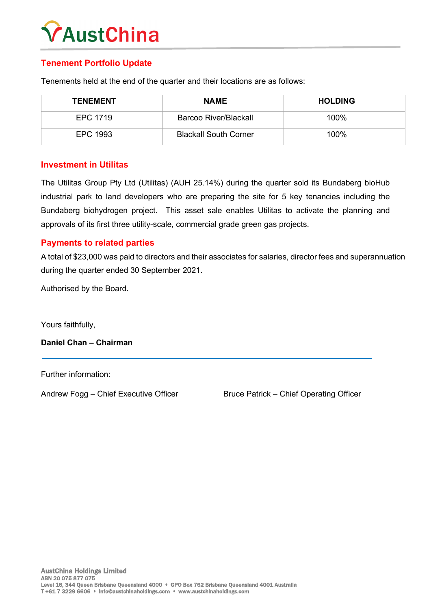# **AustChina**

### **Tenement Portfolio Update**

Tenements held at the end of the quarter and their locations are as follows:

| <b>TENEMENT</b> | <b>NAME</b>                  | <b>HOLDING</b> |
|-----------------|------------------------------|----------------|
| EPC 1719        | Barcoo River/Blackall        | $100\%$        |
| EPC 1993        | <b>Blackall South Corner</b> | 100%           |

### **Investment in Utilitas**

The Utilitas Group Pty Ltd (Utilitas) (AUH 25.14%) during the quarter sold its Bundaberg bioHub industrial park to land developers who are preparing the site for 5 key tenancies including the Bundaberg biohydrogen project. This asset sale enables Utilitas to activate the planning and approvals of its first three utility-scale, commercial grade green gas projects.

### **Payments to related parties**

A total of \$23,000 was paid to directors and their associates for salaries, director fees and superannuation during the quarter ended 30 September 2021.

Authorised by the Board.

Yours faithfully,

**Daniel Chan – Chairman**

Further information:

Andrew Fogg – Chief Executive Officer Bruce Patrick – Chief Operating Officer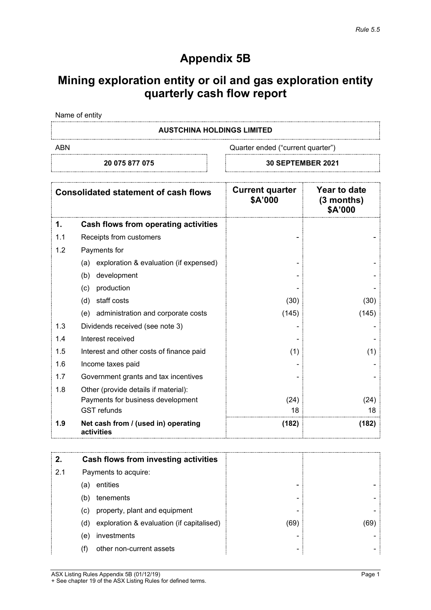## **Appendix 5B**

# **Mining exploration entity or oil and gas exploration entity quarterly cash flow report**

Name of entity

### **AUSTCHINA HOLDINGS LIMITED**

ABN ABN Cuarter ended ("current quarter")

**20 075 877 075 30 SEPTEMBER 2021**

| <b>Consolidated statement of cash flows</b> |                                                   | <b>Current quarter</b><br>\$A'000 | Year to date<br>$(3$ months)<br>\$A'000 |
|---------------------------------------------|---------------------------------------------------|-----------------------------------|-----------------------------------------|
| 1.                                          | Cash flows from operating activities              |                                   |                                         |
| 1.1                                         | Receipts from customers                           |                                   |                                         |
| 1.2                                         | Payments for                                      |                                   |                                         |
|                                             | exploration & evaluation (if expensed)<br>(a)     |                                   |                                         |
|                                             | development<br>(b)                                |                                   |                                         |
|                                             | production<br>(c)                                 |                                   |                                         |
|                                             | staff costs<br>(d)                                | (30)                              | (30)                                    |
|                                             | administration and corporate costs<br>(e)         | (145)                             | (145)                                   |
| 1.3                                         | Dividends received (see note 3)                   |                                   |                                         |
| 1.4                                         | Interest received                                 |                                   |                                         |
| 1.5                                         | Interest and other costs of finance paid          | (1)                               | (1)                                     |
| 1.6                                         | Income taxes paid                                 |                                   |                                         |
| 1.7                                         | Government grants and tax incentives              |                                   |                                         |
| 1.8                                         | Other (provide details if material):              |                                   |                                         |
|                                             | Payments for business development                 | (24)                              | (24)                                    |
|                                             | <b>GST</b> refunds                                | 18                                | 18                                      |
| 1.9                                         | Net cash from / (used in) operating<br>activities | (182)                             | (182)                                   |

| 2.  |     | Cash flows from investing activities      |      |  |
|-----|-----|-------------------------------------------|------|--|
| 2.1 |     | Payments to acquire:                      |      |  |
|     | (a) | entities                                  | -    |  |
|     | (b) | tenements                                 |      |  |
|     | (c) | property, plant and equipment             | -    |  |
|     | (d) | exploration & evaluation (if capitalised) | (69) |  |
|     | (e) | investments                               |      |  |
|     |     | other non-current assets                  | -    |  |

ASX Listing Rules Appendix 5B (01/12/19) **Page 1** + See chapter 19 of the ASX Listing Rules for defined terms.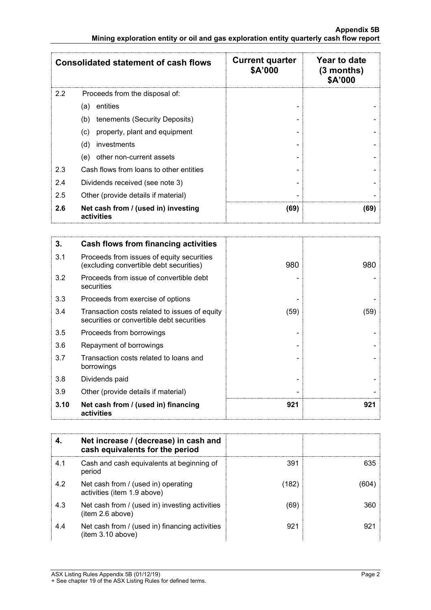|               | <b>Consolidated statement of cash flows</b>       | <b>Current quarter</b><br>\$A'000 | Year to date<br>$(3$ months)<br>\$A'000 |
|---------------|---------------------------------------------------|-----------------------------------|-----------------------------------------|
| $2.2^{\circ}$ | Proceeds from the disposal of:                    |                                   |                                         |
|               | entities<br>(a)                                   |                                   |                                         |
|               | tenements (Security Deposits)<br>(b)              |                                   |                                         |
|               | property, plant and equipment<br>(c)              |                                   |                                         |
|               | (d)<br>investments                                |                                   |                                         |
|               | other non-current assets<br>(e)                   |                                   |                                         |
| 2.3           | Cash flows from loans to other entities           |                                   |                                         |
| 2.4           | Dividends received (see note 3)                   |                                   |                                         |
| 2.5           | Other (provide details if material)               |                                   |                                         |
| 2.6           | Net cash from / (used in) investing<br>activities | (69)                              | (69)                                    |

| 3.   | <b>Cash flows from financing activities</b>                                                |      |      |
|------|--------------------------------------------------------------------------------------------|------|------|
| 3.1  | Proceeds from issues of equity securities<br>(excluding convertible debt securities)       | 980  | 980  |
| 3.2  | Proceeds from issue of convertible debt<br>securities                                      |      |      |
| 3.3  | Proceeds from exercise of options                                                          |      |      |
| 3.4  | Transaction costs related to issues of equity<br>securities or convertible debt securities | (59) | (59) |
| 3.5  | Proceeds from borrowings                                                                   |      |      |
| 3.6  | Repayment of borrowings                                                                    |      |      |
| 3.7  | Transaction costs related to loans and<br>borrowings                                       |      |      |
| 3.8  | Dividends paid                                                                             |      |      |
| 3.9  | Other (provide details if material)                                                        |      |      |
| 3.10 | Net cash from / (used in) financing<br>activities                                          | 921  | 921  |

|     | Net increase / (decrease) in cash and<br>cash equivalents for the period |      |     |
|-----|--------------------------------------------------------------------------|------|-----|
| 4.1 | Cash and cash equivalents at beginning of<br>period                      | 391  | 635 |
| 4.2 | Net cash from / (used in) operating<br>activities (item 1.9 above)       | 182) |     |
| 4.3 | Net cash from / (used in) investing activities<br>(item 2.6 above)       | (69) | 360 |
| 4.4 | Net cash from / (used in) financing activities<br>(item 3.10 above)      | 921  | 921 |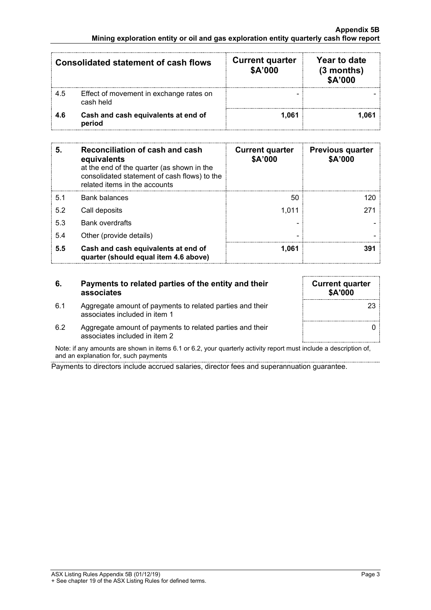| <b>Consolidated statement of cash flows</b> |                                                      | <b>Current quarter</b><br>\$A'000 | Year to date<br>$(3$ months)<br>\$A'000 |
|---------------------------------------------|------------------------------------------------------|-----------------------------------|-----------------------------------------|
| 4.5                                         | Effect of movement in exchange rates on<br>cash held |                                   |                                         |
| 46                                          | Cash and cash equivalents at end of<br>period        | 1.061                             |                                         |

| 5.  | Reconciliation of cash and cash<br>equivalents<br>at the end of the quarter (as shown in the<br>consolidated statement of cash flows) to the<br>related items in the accounts | <b>Current quarter</b><br>\$A'000 | <b>Previous quarter</b><br>\$A'000 |
|-----|-------------------------------------------------------------------------------------------------------------------------------------------------------------------------------|-----------------------------------|------------------------------------|
| 5.1 | <b>Bank balances</b>                                                                                                                                                          | 50                                |                                    |
| 5.2 | Call deposits                                                                                                                                                                 | 1.011                             |                                    |
| 5.3 | <b>Bank overdrafts</b>                                                                                                                                                        |                                   |                                    |
| 5.4 | Other (provide details)                                                                                                                                                       |                                   |                                    |
| 5.5 | Cash and cash equivalents at end of<br>quarter (should equal item 4.6 above)                                                                                                  | 1.061                             | 391                                |

### **6. Payments to related parties of the entity and their associates**

6.1 Aggregate amount of payments to related parties and their associates included in item 1

| <b>Current quarter</b><br>\$A'000 |  |
|-----------------------------------|--|
| 23                                |  |
|                                   |  |

6.2 Aggregate amount of payments to related parties and their associates included in item 2

Note: if any amounts are shown in items 6.1 or 6.2, your quarterly activity report must include a description of, and an explanation for, such payments

Payments to directors include accrued salaries, director fees and superannuation guarantee.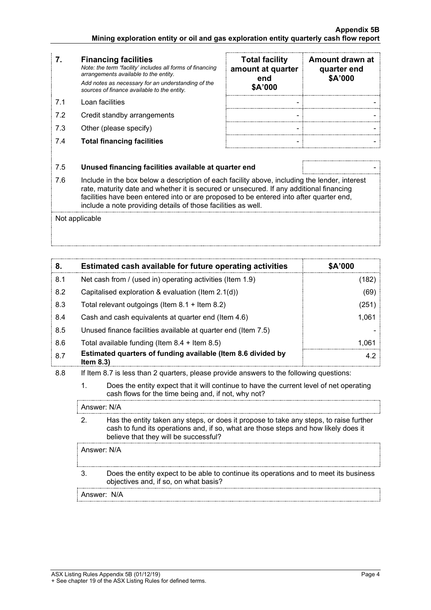- **7. Financing facilities** *Note: the term "facility' includes all forms of financing arrangements available to the entity. Add notes as necessary for an understanding of the sources of finance available to the entity.*
- 7.2 Credit standby arrangements
- 7.3 Other (please specify)
- 7.4 **Total financing facilities** -

|     | <b>Financing facilities</b><br>Note: the term "facility' includes all forms of financing<br>arrangements available to the entity.<br>Add notes as necessary for an understanding of the<br>sources of finance available to the entity. | <b>Total facility</b><br>amount at quarter<br>end<br>\$A'000 | Amount drawn at<br>quarter end<br>\$A'000 |
|-----|----------------------------------------------------------------------------------------------------------------------------------------------------------------------------------------------------------------------------------------|--------------------------------------------------------------|-------------------------------------------|
| 71  | Loan facilities                                                                                                                                                                                                                        |                                                              |                                           |
| 7.2 | Credit standby arrangements                                                                                                                                                                                                            |                                                              |                                           |
| 7.3 | Other (please specify)                                                                                                                                                                                                                 |                                                              |                                           |
| 7.4 | <b>Total financing facilities</b>                                                                                                                                                                                                      |                                                              |                                           |

### 7.5 **Unused financing facilities available at quarter end** -

7.6 Include in the box below a description of each facility above, including the lender, interest rate, maturity date and whether it is secured or unsecured. If any additional financing facilities have been entered into or are proposed to be entered into after quarter end, include a note providing details of those facilities as well.

Not applicable

| 8.  | Estimated cash available for future operating activities                   | <b>SA'000</b> |
|-----|----------------------------------------------------------------------------|---------------|
| 8.1 | Net cash from / (used in) operating activities (Item 1.9)                  |               |
| 8.2 | Capitalised exploration & evaluation (Item 2.1(d))                         | (69)          |
| 8.3 | Total relevant outgoings (Item $8.1 +$ Item $8.2$ )                        | 251)          |
| 8.4 | Cash and cash equivalents at quarter end (Item 4.6)                        | 1.061         |
| 8.5 | Unused finance facilities available at quarter end (Item 7.5)              |               |
| 8.6 | Total available funding (Item $8.4$ + Item $8.5$ )                         | - ()Ki        |
| 8.7 | Estimated quarters of funding available (Item 8.6 divided by<br>Item $8.3$ |               |

- 8.8 If Item 8.7 is less than 2 quarters, please provide answers to the following questions:
	- 1. Does the entity expect that it will continue to have the current level of net operating cash flows for the time being and, if not, why not?

Answer: N/A

2. Has the entity taken any steps, or does it propose to take any steps, to raise further cash to fund its operations and, if so, what are those steps and how likely does it believe that they will be successful?

Answer: N/A

3. Does the entity expect to be able to continue its operations and to meet its business objectives and, if so, on what basis?

Answer: N/A